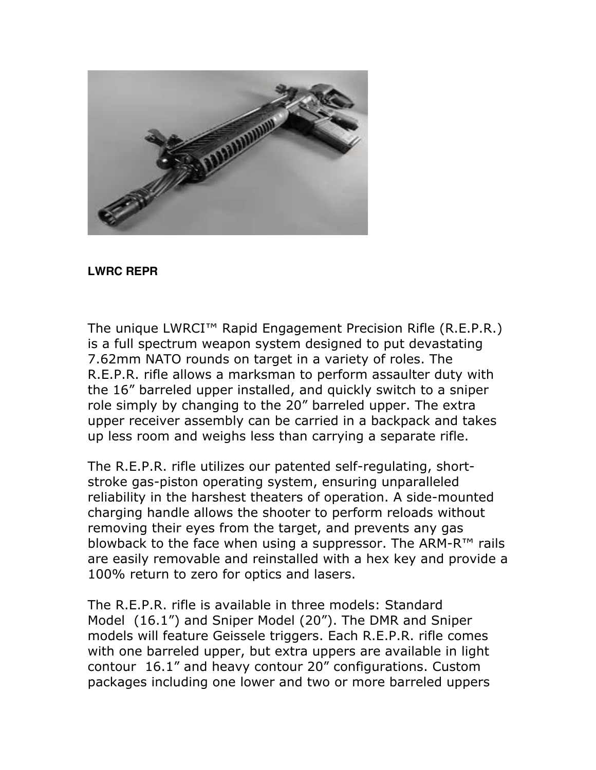

## **LWRC REPR**

The unique LWRCI™ Rapid Engagement Precision Rifle (R.E.P.R.) is a full spectrum weapon system designed to put devastating 7.62mm NATO rounds on target in a variety of roles. The R.E.P.R. rifle allows a marksman to perform assaulter duty with the 16" barreled upper installed, and quickly switch to a sniper role simply by changing to the 20" barreled upper. The extra upper receiver assembly can be carried in a backpack and takes up less room and weighs less than carrying a separate rifle.

The R.E.P.R. rifle utilizes our patented self-regulating, shortstroke gas-piston operating system, ensuring unparalleled reliability in the harshest theaters of operation. A side-mounted charging handle allows the shooter to perform reloads without removing their eyes from the target, and prevents any gas blowback to the face when using a suppressor. The ARM-R™ rails are easily removable and reinstalled with a hex key and provide a 100% return to zero for optics and lasers.

The R.E.P.R. rifle is available in three models: Standard Model (16.1") and Sniper Model (20"). The DMR and Sniper models will feature Geissele triggers. Each R.E.P.R. rifle comes with one barreled upper, but extra uppers are available in light contour 16.1" and heavy contour 20" configurations. Custom packages including one lower and two or more barreled uppers